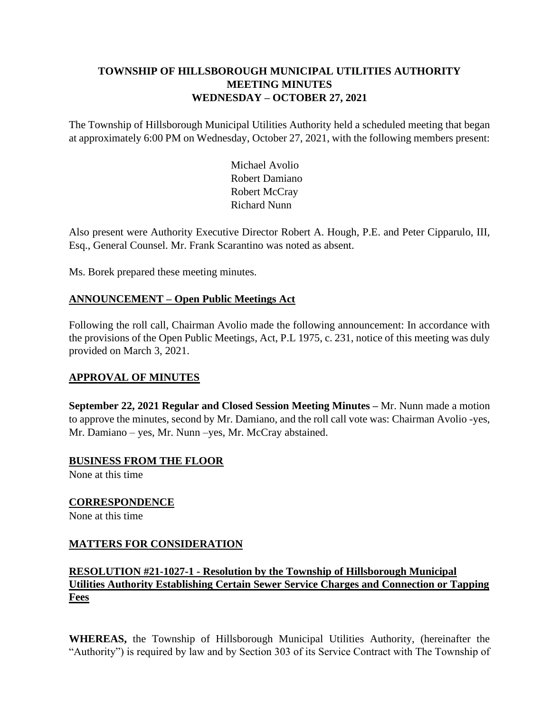## **TOWNSHIP OF HILLSBOROUGH MUNICIPAL UTILITIES AUTHORITY MEETING MINUTES WEDNESDAY – OCTOBER 27, 2021**

The Township of Hillsborough Municipal Utilities Authority held a scheduled meeting that began at approximately 6:00 PM on Wednesday, October 27, 2021, with the following members present:

> Michael Avolio Robert Damiano Robert McCray Richard Nunn

Also present were Authority Executive Director Robert A. Hough, P.E. and Peter Cipparulo, III, Esq., General Counsel. Mr. Frank Scarantino was noted as absent.

Ms. Borek prepared these meeting minutes.

## **ANNOUNCEMENT – Open Public Meetings Act**

Following the roll call, Chairman Avolio made the following announcement: In accordance with the provisions of the Open Public Meetings, Act, P.L 1975, c. 231, notice of this meeting was duly provided on March 3, 2021.

### **APPROVAL OF MINUTES**

**September 22, 2021 Regular and Closed Session Meeting Minutes –** Mr. Nunn made a motion to approve the minutes, second by Mr. Damiano, and the roll call vote was: Chairman Avolio -yes, Mr. Damiano – yes, Mr. Nunn –yes, Mr. McCray abstained.

**BUSINESS FROM THE FLOOR** None at this time

**CORRESPONDENCE** None at this time

### **MATTERS FOR CONSIDERATION**

## **RESOLUTION #21-1027-1 - Resolution by the Township of Hillsborough Municipal Utilities Authority Establishing Certain Sewer Service Charges and Connection or Tapping Fees**

**WHEREAS,** the Township of Hillsborough Municipal Utilities Authority, (hereinafter the "Authority") is required by law and by Section 303 of its Service Contract with The Township of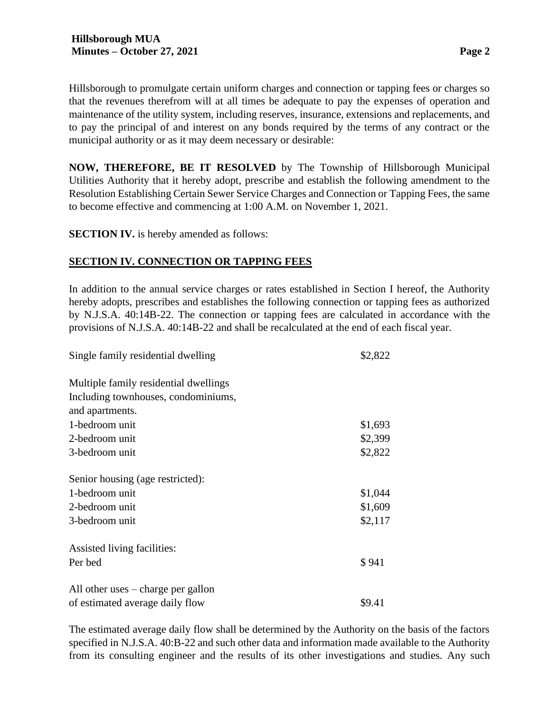Hillsborough to promulgate certain uniform charges and connection or tapping fees or charges so that the revenues therefrom will at all times be adequate to pay the expenses of operation and maintenance of the utility system, including reserves, insurance, extensions and replacements, and to pay the principal of and interest on any bonds required by the terms of any contract or the municipal authority or as it may deem necessary or desirable:

**NOW, THEREFORE, BE IT RESOLVED** by The Township of Hillsborough Municipal Utilities Authority that it hereby adopt, prescribe and establish the following amendment to the Resolution Establishing Certain Sewer Service Charges and Connection or Tapping Fees, the same to become effective and commencing at 1:00 A.M. on November 1, 2021.

**SECTION IV.** is hereby amended as follows:

### **SECTION IV. CONNECTION OR TAPPING FEES**

In addition to the annual service charges or rates established in Section I hereof, the Authority hereby adopts, prescribes and establishes the following connection or tapping fees as authorized by N.J.S.A. 40:14B-22. The connection or tapping fees are calculated in accordance with the provisions of N.J.S.A. 40:14B-22 and shall be recalculated at the end of each fiscal year.

| Single family residential dwelling         | \$2,822 |
|--------------------------------------------|---------|
| Multiple family residential dwellings      |         |
| Including townhouses, condominiums,        |         |
| and apartments.                            |         |
| 1-bedroom unit                             | \$1,693 |
| 2-bedroom unit                             | \$2,399 |
| 3-bedroom unit                             | \$2,822 |
| Senior housing (age restricted):           |         |
| 1-bedroom unit                             | \$1,044 |
| 2-bedroom unit                             | \$1,609 |
| 3-bedroom unit                             | \$2,117 |
| Assisted living facilities:                |         |
| Per bed                                    | \$941   |
| All other uses $-\text{charge}$ per gallon |         |
| of estimated average daily flow            | \$9.41  |

The estimated average daily flow shall be determined by the Authority on the basis of the factors specified in N.J.S.A. 40:B-22 and such other data and information made available to the Authority from its consulting engineer and the results of its other investigations and studies. Any such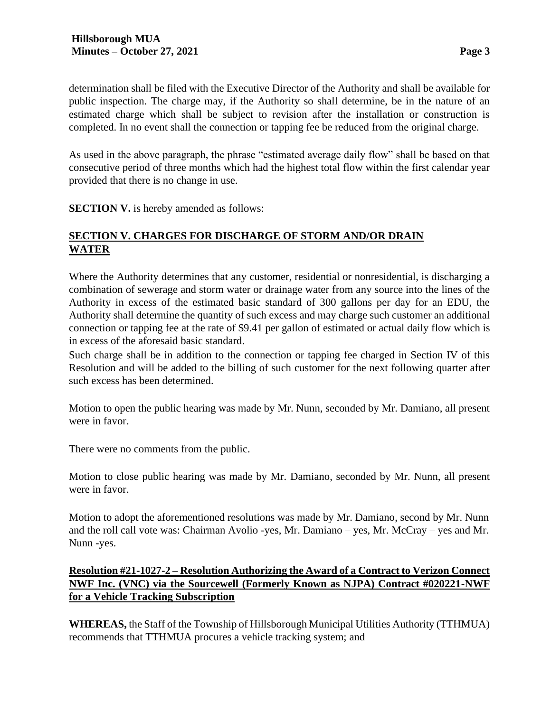determination shall be filed with the Executive Director of the Authority and shall be available for public inspection. The charge may, if the Authority so shall determine, be in the nature of an estimated charge which shall be subject to revision after the installation or construction is completed. In no event shall the connection or tapping fee be reduced from the original charge.

As used in the above paragraph, the phrase "estimated average daily flow" shall be based on that consecutive period of three months which had the highest total flow within the first calendar year provided that there is no change in use.

**SECTION V.** is hereby amended as follows:

## **SECTION V. CHARGES FOR DISCHARGE OF STORM AND/OR DRAIN WATER**

Where the Authority determines that any customer, residential or nonresidential, is discharging a combination of sewerage and storm water or drainage water from any source into the lines of the Authority in excess of the estimated basic standard of 300 gallons per day for an EDU, the Authority shall determine the quantity of such excess and may charge such customer an additional connection or tapping fee at the rate of \$9.41 per gallon of estimated or actual daily flow which is in excess of the aforesaid basic standard.

Such charge shall be in addition to the connection or tapping fee charged in Section IV of this Resolution and will be added to the billing of such customer for the next following quarter after such excess has been determined.

Motion to open the public hearing was made by Mr. Nunn, seconded by Mr. Damiano, all present were in favor.

There were no comments from the public.

Motion to close public hearing was made by Mr. Damiano, seconded by Mr. Nunn, all present were in favor.

Motion to adopt the aforementioned resolutions was made by Mr. Damiano, second by Mr. Nunn and the roll call vote was: Chairman Avolio -yes, Mr. Damiano – yes, Mr. McCray – yes and Mr. Nunn -yes.

### **Resolution #21-1027-2 – Resolution Authorizing the Award of a Contract to Verizon Connect NWF Inc. (VNC) via the Sourcewell (Formerly Known as NJPA) Contract #020221-NWF for a Vehicle Tracking Subscription**

**WHEREAS,** the Staff of the Township of Hillsborough Municipal Utilities Authority (TTHMUA) recommends that TTHMUA procures a vehicle tracking system; and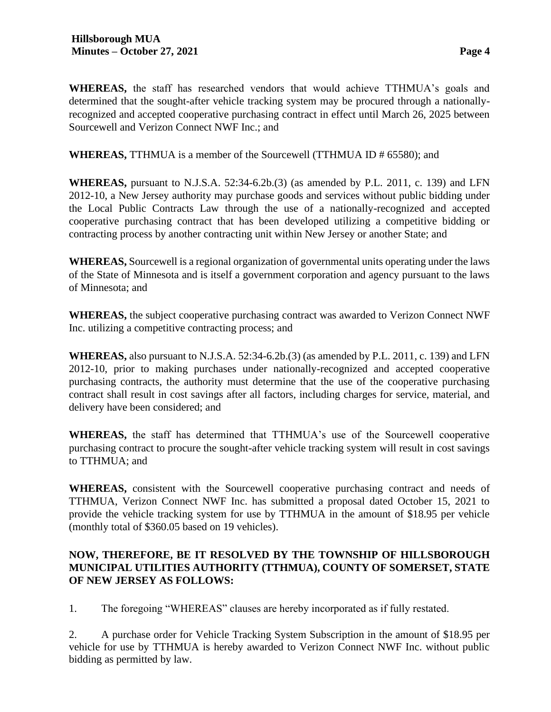**WHEREAS,** the staff has researched vendors that would achieve TTHMUA's goals and determined that the sought-after vehicle tracking system may be procured through a nationallyrecognized and accepted cooperative purchasing contract in effect until March 26, 2025 between Sourcewell and Verizon Connect NWF Inc.; and

**WHEREAS,** TTHMUA is a member of the Sourcewell (TTHMUA ID # 65580); and

**WHEREAS,** pursuant to N.J.S.A. 52:34-6.2b.(3) (as amended by P.L. 2011, c. 139) and LFN 2012-10, a New Jersey authority may purchase goods and services without public bidding under the Local Public Contracts Law through the use of a nationally-recognized and accepted cooperative purchasing contract that has been developed utilizing a competitive bidding or contracting process by another contracting unit within New Jersey or another State; and

**WHEREAS,** Sourcewell is a regional organization of governmental units operating under the laws of the State of Minnesota and is itself a government corporation and agency pursuant to the laws of Minnesota; and

**WHEREAS,** the subject cooperative purchasing contract was awarded to Verizon Connect NWF Inc. utilizing a competitive contracting process; and

**WHEREAS,** also pursuant to N.J.S.A. 52:34-6.2b.(3) (as amended by P.L. 2011, c. 139) and LFN 2012-10, prior to making purchases under nationally-recognized and accepted cooperative purchasing contracts, the authority must determine that the use of the cooperative purchasing contract shall result in cost savings after all factors, including charges for service, material, and delivery have been considered; and

**WHEREAS,** the staff has determined that TTHMUA's use of the Sourcewell cooperative purchasing contract to procure the sought-after vehicle tracking system will result in cost savings to TTHMUA; and

**WHEREAS,** consistent with the Sourcewell cooperative purchasing contract and needs of TTHMUA, Verizon Connect NWF Inc. has submitted a proposal dated October 15, 2021 to provide the vehicle tracking system for use by TTHMUA in the amount of \$18.95 per vehicle (monthly total of \$360.05 based on 19 vehicles).

## **NOW, THEREFORE, BE IT RESOLVED BY THE TOWNSHIP OF HILLSBOROUGH MUNICIPAL UTILITIES AUTHORITY (TTHMUA), COUNTY OF SOMERSET, STATE OF NEW JERSEY AS FOLLOWS:**

1. The foregoing "WHEREAS" clauses are hereby incorporated as if fully restated.

2. A purchase order for Vehicle Tracking System Subscription in the amount of \$18.95 per vehicle for use by TTHMUA is hereby awarded to Verizon Connect NWF Inc. without public bidding as permitted by law.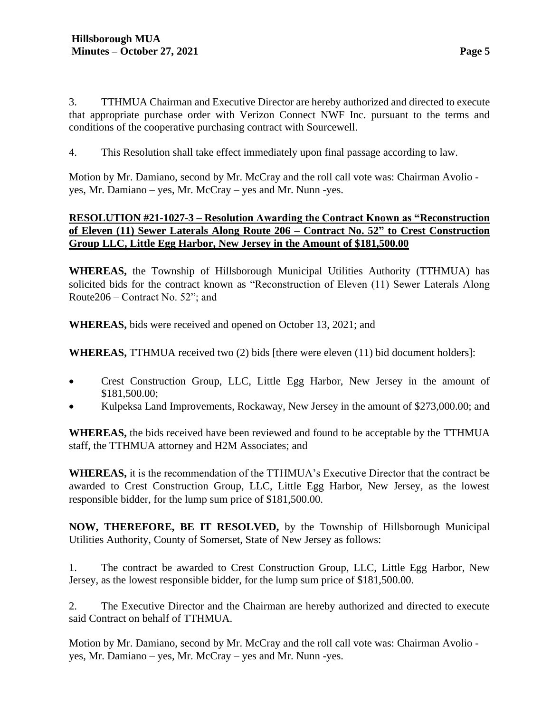3. TTHMUA Chairman and Executive Director are hereby authorized and directed to execute that appropriate purchase order with Verizon Connect NWF Inc. pursuant to the terms and conditions of the cooperative purchasing contract with Sourcewell.

4. This Resolution shall take effect immediately upon final passage according to law.

Motion by Mr. Damiano, second by Mr. McCray and the roll call vote was: Chairman Avolio yes, Mr. Damiano – yes, Mr. McCray – yes and Mr. Nunn -yes.

## **RESOLUTION #21-1027-3 – Resolution Awarding the Contract Known as "Reconstruction of Eleven (11) Sewer Laterals Along Route 206 – Contract No. 52" to Crest Construction Group LLC, Little Egg Harbor, New Jersey in the Amount of \$181,500.00**

**WHEREAS,** the Township of Hillsborough Municipal Utilities Authority (TTHMUA) has solicited bids for the contract known as "Reconstruction of Eleven (11) Sewer Laterals Along Route206 – Contract No. 52"; and

**WHEREAS,** bids were received and opened on October 13, 2021; and

**WHEREAS,** TTHMUA received two (2) bids [there were eleven (11) bid document holders]:

- Crest Construction Group, LLC, Little Egg Harbor, New Jersey in the amount of \$181,500.00;
- Kulpeksa Land Improvements, Rockaway, New Jersey in the amount of \$273,000.00; and

**WHEREAS,** the bids received have been reviewed and found to be acceptable by the TTHMUA staff, the TTHMUA attorney and H2M Associates; and

**WHEREAS,** it is the recommendation of the TTHMUA's Executive Director that the contract be awarded to Crest Construction Group, LLC, Little Egg Harbor, New Jersey, as the lowest responsible bidder, for the lump sum price of \$181,500.00.

**NOW, THEREFORE, BE IT RESOLVED,** by the Township of Hillsborough Municipal Utilities Authority, County of Somerset, State of New Jersey as follows:

1. The contract be awarded to Crest Construction Group, LLC, Little Egg Harbor, New Jersey, as the lowest responsible bidder, for the lump sum price of \$181,500.00.

2. The Executive Director and the Chairman are hereby authorized and directed to execute said Contract on behalf of TTHMUA.

Motion by Mr. Damiano, second by Mr. McCray and the roll call vote was: Chairman Avolio yes, Mr. Damiano – yes, Mr. McCray – yes and Mr. Nunn -yes.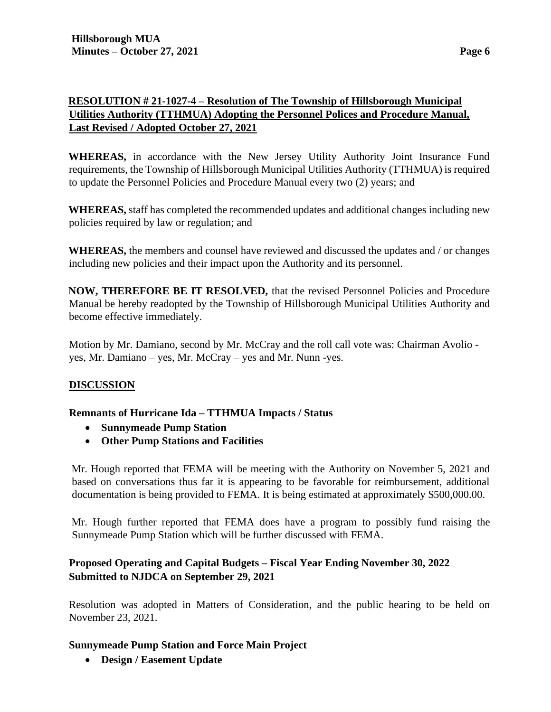# **RESOLUTION # 21-1027-4 – Resolution of The Township of Hillsborough Municipal Utilities Authority (TTHMUA) Adopting the Personnel Polices and Procedure Manual, Last Revised / Adopted October 27, 2021**

**WHEREAS,** in accordance with the New Jersey Utility Authority Joint Insurance Fund requirements, the Township of Hillsborough Municipal Utilities Authority (TTHMUA) is required to update the Personnel Policies and Procedure Manual every two (2) years; and

**WHEREAS,** staff has completed the recommended updates and additional changes including new policies required by law or regulation; and

**WHEREAS,** the members and counsel have reviewed and discussed the updates and / or changes including new policies and their impact upon the Authority and its personnel.

**NOW, THEREFORE BE IT RESOLVED,** that the revised Personnel Policies and Procedure Manual be hereby readopted by the Township of Hillsborough Municipal Utilities Authority and become effective immediately.

Motion by Mr. Damiano, second by Mr. McCray and the roll call vote was: Chairman Avolio yes, Mr. Damiano – yes, Mr. McCray – yes and Mr. Nunn -yes.

## **DISCUSSION**

### **Remnants of Hurricane Ida – TTHMUA Impacts / Status**

- **Sunnymeade Pump Station**
- **Other Pump Stations and Facilities**

Mr. Hough reported that FEMA will be meeting with the Authority on November 5, 2021 and based on conversations thus far it is appearing to be favorable for reimbursement, additional documentation is being provided to FEMA. It is being estimated at approximately \$500,000.00.

Mr. Hough further reported that FEMA does have a program to possibly fund raising the Sunnymeade Pump Station which will be further discussed with FEMA.

## **Proposed Operating and Capital Budgets – Fiscal Year Ending November 30, 2022 Submitted to NJDCA on September 29, 2021**

Resolution was adopted in Matters of Consideration, and the public hearing to be held on November 23, 2021.

### **Sunnymeade Pump Station and Force Main Project**

• **Design / Easement Update**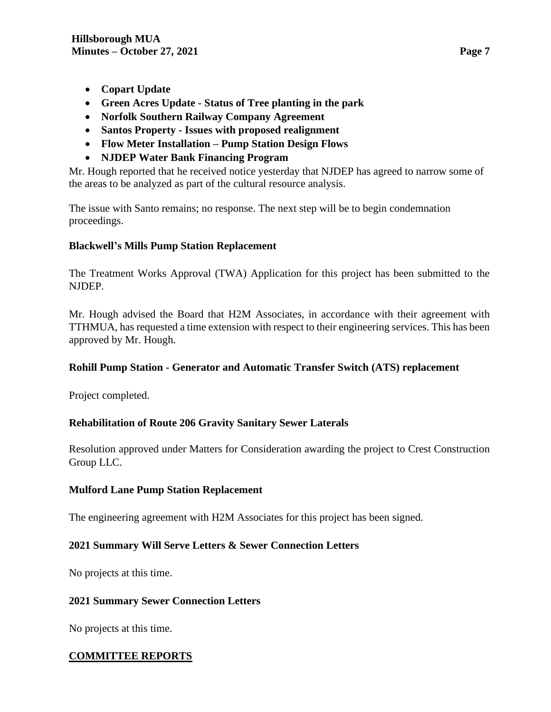- **Copart Update**
- **Green Acres Update - Status of Tree planting in the park**
- **Norfolk Southern Railway Company Agreement**
- **Santos Property - Issues with proposed realignment**
- **Flow Meter Installation – Pump Station Design Flows**
- **NJDEP Water Bank Financing Program**

Mr. Hough reported that he received notice yesterday that NJDEP has agreed to narrow some of the areas to be analyzed as part of the cultural resource analysis.

The issue with Santo remains; no response. The next step will be to begin condemnation proceedings.

## **Blackwell's Mills Pump Station Replacement**

The Treatment Works Approval (TWA) Application for this project has been submitted to the NJDEP.

Mr. Hough advised the Board that H2M Associates, in accordance with their agreement with TTHMUA, has requested a time extension with respect to their engineering services. This has been approved by Mr. Hough.

### **Rohill Pump Station - Generator and Automatic Transfer Switch (ATS) replacement**

Project completed.

## **Rehabilitation of Route 206 Gravity Sanitary Sewer Laterals**

Resolution approved under Matters for Consideration awarding the project to Crest Construction Group LLC.

### **Mulford Lane Pump Station Replacement**

The engineering agreement with H2M Associates for this project has been signed.

## **2021 Summary Will Serve Letters & Sewer Connection Letters**

No projects at this time.

### **2021 Summary Sewer Connection Letters**

No projects at this time.

## **COMMITTEE REPORTS**